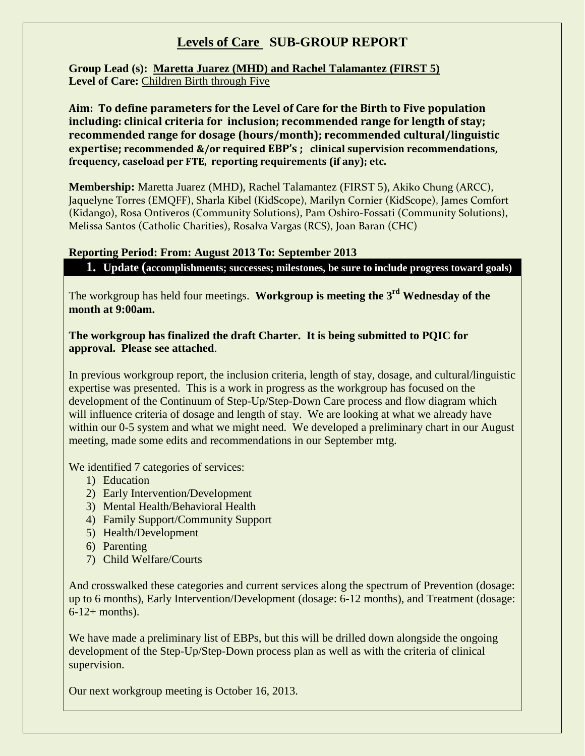## **Levels of Care SUB-GROUP REPORT**

**Group Lead (s): Maretta Juarez (MHD) and Rachel Talamantez (FIRST 5) Level of Care:** Children Birth through Five

**Aim: To define parameters for the Level of Care for the Birth to Five population including: clinical criteria for inclusion; recommended range for length of stay; recommended range for dosage (hours/month); recommended cultural/linguistic expertise; recommended &/or required EBP's ; clinical supervision recommendations, frequency, caseload per FTE, reporting requirements (if any); etc.** 

**Membership:** Maretta Juarez (MHD), Rachel Talamantez (FIRST 5), Akiko Chung (ARCC), Jaquelyne Torres (EMQFF), Sharla Kibel (KidScope), Marilyn Cornier (KidScope), James Comfort (Kidango), Rosa Ontiveros (Community Solutions), Pam Oshiro-Fossati (Community Solutions), Melissa Santos (Catholic Charities), Rosalva Vargas (RCS), Joan Baran (CHC)

## **Reporting Period: From: August 2013 To: September 2013**

**1. Update (accomplishments; successes; milestones, be sure to include progress toward goals)**

The workgroup has held four meetings. **Workgroup is meeting the 3rd Wednesday of the month at 9:00am.**

## **The workgroup has finalized the draft Charter. It is being submitted to PQIC for approval. Please see attached**.

In previous workgroup report, the inclusion criteria, length of stay, dosage, and cultural/linguistic expertise was presented. This is a work in progress as the workgroup has focused on the development of the Continuum of Step-Up/Step-Down Care process and flow diagram which will influence criteria of dosage and length of stay. We are looking at what we already have within our 0-5 system and what we might need. We developed a preliminary chart in our August meeting, made some edits and recommendations in our September mtg.

We identified 7 categories of services:

- 1) Education
- 2) Early Intervention/Development
- 3) Mental Health/Behavioral Health
- 4) Family Support/Community Support
- 5) Health/Development
- 6) Parenting
- 7) Child Welfare/Courts

And crosswalked these categories and current services along the spectrum of Prevention (dosage: up to 6 months), Early Intervention/Development (dosage: 6-12 months), and Treatment (dosage:  $6-12+$  months).

We have made a preliminary list of EBPs, but this will be drilled down alongside the ongoing development of the Step-Up/Step-Down process plan as well as with the criteria of clinical supervision.

Our next workgroup meeting is October 16, 2013.